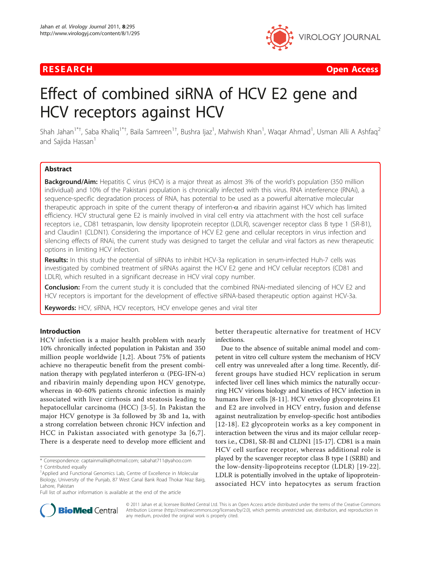

**RESEARCH Open Access Contract Contract Contract Contract Contract Contract Contract Contract Contract Contract Contract Contract Contract Contract Contract Contract Contract Contract Contract Contract Contract Contract** 

# Effect of combined siRNA of HCV E2 gene and HCV receptors against HCV

Shah Jahan<sup>1\*†</sup>, Saba Khaliq<sup>1\*†</sup>, Baila Samreen<sup>1†</sup>, Bushra Ijaz<sup>1</sup>, Mahwish Khan<sup>1</sup>, Waqar Ahmad<sup>1</sup>, Usman Alli A Ashfaq<sup>2</sup> and Saiida Hassan<sup>1</sup>

# Abstract

**Background/Aim:** Hepatitis C virus (HCV) is a major threat as almost 3% of the world's population (350 million individual) and 10% of the Pakistani population is chronically infected with this virus. RNA interference (RNAi), a sequence-specific degradation process of RNA, has potential to be used as a powerful alternative molecular therapeutic approach in spite of the current therapy of interferon- $\alpha$  and ribavirin against HCV which has limited efficiency. HCV structural gene E2 is mainly involved in viral cell entry via attachment with the host cell surface receptors i.e., CD81 tetraspanin, low density lipoprotein receptor (LDLR), scavenger receptor class B type 1 (SR-B1), and Claudin1 (CLDN1). Considering the importance of HCV E2 gene and cellular receptors in virus infection and silencing effects of RNAi, the current study was designed to target the cellular and viral factors as new therapeutic options in limiting HCV infection.

Results: In this study the potential of siRNAs to inhibit HCV-3a replication in serum-infected Huh-7 cells was investigated by combined treatment of siRNAs against the HCV E2 gene and HCV cellular receptors (CD81 and LDLR), which resulted in a significant decrease in HCV viral copy number.

**Conclusion:** From the current study it is concluded that the combined RNAi-mediated silencing of HCV E2 and HCV receptors is important for the development of effective siRNA-based therapeutic option against HCV-3a.

**Keywords:** HCV, siRNA, HCV receptors, HCV envelope genes and viral titer

# Introduction

HCV infection is a major health problem with nearly 10% chronically infected population in Pakistan and 350 million people worldwide [[1,2](#page-4-0)]. About 75% of patients achieve no therapeutic benefit from the present combination therapy with pegylated interferon  $\alpha$  (PEG-IFN- $\alpha$ ) and ribavirin mainly depending upon HCV genotype, whereas in 40-60% patients chronic infection is mainly associated with liver cirrhosis and steatosis leading to hepatocellular carcinoma (HCC) [[3-5\]](#page-4-0). In Pakistan the major HCV genotype is 3a followed by 3b and 1a, with a strong correlation between chronic HCV infection and HCC in Pakistan associated with genotype 3a [[6,7\]](#page-4-0). There is a desperate need to develop more efficient and

better therapeutic alternative for treatment of HCV infections.

Due to the absence of suitable animal model and competent in vitro cell culture system the mechanism of HCV cell entry was unrevealed after a long time. Recently, different groups have studied HCV replication in serum infected liver cell lines which mimics the naturally occurring HCV virions biology and kinetics of HCV infection in humans liver cells [[8-11](#page-4-0)]. HCV envelop glycoproteins E1 and E2 are involved in HCV entry, fusion and defense against neutralization by envelop-specific host antibodies [[12-](#page-4-0)[18\]](#page-5-0). E2 glycoprotein works as a key component in interaction between the virus and its major cellular receptors i.e., CD81, SR-BI and CLDN1 [\[15](#page-4-0)[-17\]](#page-5-0). CD81 is a main HCV cell surface receptor, whereas additional role is played by the scavenger receptor class B type I (SRBI) and the low-density-lipoproteins receptor (LDLR) [\[19-22\]](#page-5-0). LDLR is potentially involved in the uptake of lipoproteinassociated HCV into hepatocytes as serum fraction



© 2011 Jahan et al; licensee BioMed Central Ltd. This is an Open Access article distributed under the terms of the Creative Commons Attribution License [\(http://creativecommons.org/licenses/by/2.0](http://creativecommons.org/licenses/by/2.0)), which permits unrestricted use, distribution, and reproduction in any medium, provided the original work is properly cited.

<sup>\*</sup> Correspondence: [captainmalik@hotmail.com](mailto:captainmalik@hotmail.com); [sabahat711@yahoo.com](mailto:sabahat711@yahoo.com)

<sup>†</sup> Contributed equally <sup>1</sup>

<sup>&</sup>lt;sup>1</sup>Applied and Functional Genomics Lab, Centre of Excellence in Molecular Biology, University of the Punjab, 87 West Canal Bank Road Thokar Niaz Baig, Lahore, Pakistan

Full list of author information is available at the end of the article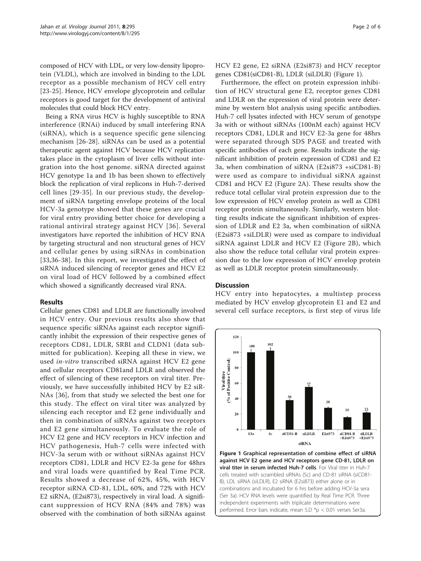<span id="page-1-0"></span>composed of HCV with LDL, or very low-density lipoprotein (VLDL), which are involved in binding to the LDL receptor as a possible mechanism of HCV cell entry [[23-25\]](#page-5-0). Hence, HCV envelope glycoprotein and cellular receptors is good target for the development of antiviral molecules that could block HCV entry.

Being a RNA virus HCV is highly susceptible to RNA interference (RNAi) induced by small interfering RNA (siRNA), which is a sequence specific gene silencing mechanism [\[26-28](#page-5-0)]. siRNAs can be used as a potential therapeutic agent against HCV because HCV replication takes place in the cytoplasm of liver cells without integration into the host genome. siRNA directed against HCV genotype 1a and 1b has been shown to effectively block the replication of viral replicons in Huh-7-derived cell lines [[29-35\]](#page-5-0). In our previous study, the development of siRNA targeting envelope proteins of the local HCV-3a genotype showed that these genes are crucial for viral entry providing better choice for developing a rational antiviral strategy against HCV [[36](#page-5-0)]. Several investigators have reported the inhibition of HCV RNA by targeting structural and non structural genes of HCV and cellular genes by using siRNAs in combination [[33](#page-5-0),[36-38\]](#page-5-0). In this report, we investigated the effect of siRNA induced silencing of receptor genes and HCV E2 on viral load of HCV followed by a combined effect which showed a significantly decreased viral RNA.

# Results

Cellular genes CD81 and LDLR are functionally involved in HCV entry. Our previous results also show that sequence specific siRNAs against each receptor significantly inhibit the expression of their respective genes of receptors CD81, LDLR, SRBI and CLDN1 (data submitted for publication). Keeping all these in view, we used in-vitro transcribed siRNA against HCV E2 gene and cellular receptors CD81and LDLR and observed the effect of silencing of these receptors on viral titer. Previously, we have successfully inhibited HCV by E2 siR-NAs [[36](#page-5-0)], from that study we selected the best one for this study. The effect on viral titer was analyzed by silencing each receptor and E2 gene individually and then in combination of siRNAs against two receptors and E2 gene simultaneously. To evaluate the role of HCV E2 gene and HCV receptors in HCV infection and HCV pathogenesis, Huh-7 cells were infected with HCV-3a serum with or without siRNAs against HCV receptors CD81, LDLR and HCV E2-3a gene for 48hrs and viral loads were quantified by Real Time PCR. Results showed a decrease of 62%, 45%, with HCV receptor siRNA CD-81, LDL, 60%, and 72% with HCV E2 siRNA, (E2si873), respectively in viral load. A significant suppression of HCV RNA (84% and 78%) was observed with the combination of both siRNAs against HCV E2 gene, E2 siRNA (E2si873) and HCV receptor genes CD81(siCD81-B), LDLR (siLDLR) (Figure 1).

Furthermore, the effect on protein expression inhibition of HCV structural gene E2, receptor genes CD81 and LDLR on the expression of viral protein were determine by western blot analysis using specific antibodies. Huh-7 cell lysates infected with HCV serum of genotype 3a with or without siRNAs (100nM each) against HCV receptors CD81, LDLR and HCV E2-3a gene for 48hrs were separated through SDS PAGE and treated with specific antibodies of each gene. Results indicate the significant inhibition of protein expression of CD81 and E2 3a, when combination of siRNA (E2si873 +siCD81-B) were used as compare to individual siRNA against CD81 and HCV E2 (Figure [2A\)](#page-2-0). These results show the reduce total cellular viral protein expression due to the low expression of HCV envelop protein as well as CD81 receptor protein simultaneously. Similarly, western blotting results indicate the significant inhibition of expression of LDLR and E2 3a, when combination of siRNA (E2si873 +siLDLR) were used as compare to individual siRNA against LDLR and HCV E2 (Figure [2B\)](#page-2-0), which also show the reduce total cellular viral protein expression due to the low expression of HCV envelop protein as well as LDLR receptor protein simultaneously.

### **Discussion**

HCV entry into hepatocytes, a multistep process mediated by HCV envelop glycoprotein E1 and E2 and several cell surface receptors, is first step of virus life



against HCV E2 gene and HCV receptors gene CD-81, LDLR on viral titer in serum infected Huh-7 cells. For Viral titer in Huh-7 cells treated with scrambled siRNAs (Sc) and CD-81 siRNA (siCD81- B), LDL siRNA (siLDLR), E2 siRNA (E2si873) either alone or in combinations and incubated for 6 hrs before adding HCV-3a sera (Ser 3a). HCV RNA levels were quantified by Real Time PCR. Three independent experiments with triplicate determinations were performed. Error bars indicate, mean S.D \*p < 0.01 verses Ser3a.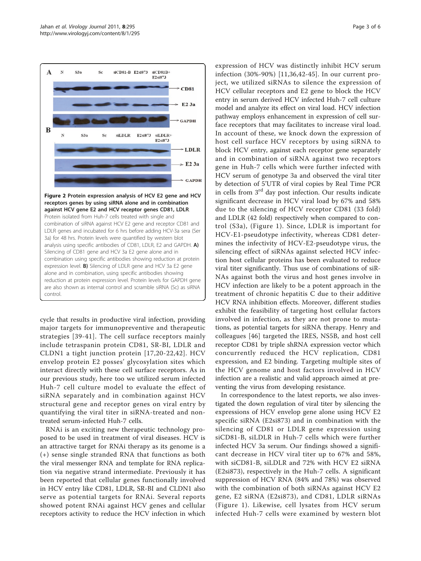<span id="page-2-0"></span>

Figure 2 Protein expression analysis of HCV E2 gene and HCV receptors genes by using siRNA alone and in combination against HCV gene E2 and HCV receptor genes CD81, LDLR. Protein isolated from Huh-7 cells treated with single and combination of siRNA against HCV E2 gene and receptor CD81 and LDLR genes and incubated for 6 hrs before adding HCV-3a sera (Ser 3a) for 48 hrs. Protein levels were quantified by western blot analysis using specific antibodies of CD81, LDLR, E2 and GAPDH. A) Silencing of CD81 gene and HCV 3a E2 gene alone and in combination using specific antibodies showing reduction at protein expression level. B) Silencing of LDLR gene and HCV 3a E2 gene alone and in combination, using specific antibodies showing reduction at protein expression level. Protein levels for GAPDH gene are also shown as internal control and scramble siRNA (Sc) as siRNA control.

cycle that results in productive viral infection, providing major targets for immunopreventive and therapeutic strategies [[39](#page-5-0)-[41\]](#page-5-0). The cell surface receptors mainly include tetraspanin protein CD81, SR-BI, LDLR and CLDN1 a tight junction protein [\[17](#page-5-0),[20](#page-5-0)-[22,42\]](#page-5-0). HCV envelop protein E2 posses' glycosylation sites which interact directly with these cell surface receptors. As in our previous study, here too we utilized serum infected Huh-7 cell culture model to evaluate the effect of siRNA separately and in combination against HCV structural gene and receptor genes on viral entry by quantifying the viral titer in siRNA-treated and nontreated serum-infected Huh-7 cells.

RNAi is an exciting new therapeutic technology proposed to be used in treatment of viral diseases. HCV is an attractive target for RNAi therapy as its genome is a (+) sense single stranded RNA that functions as both the viral messenger RNA and template for RNA replication via negative strand intermediate. Previously it has been reported that cellular genes functionally involved in HCV entry like CD81, LDLR, SR-BI and CLDN1 also serve as potential targets for RNAi. Several reports showed potent RNAi against HCV genes and cellular receptors activity to reduce the HCV infection in which

expression of HCV was distinctly inhibit HCV serum infection (30%-90%) [[11](#page-4-0),[36,42](#page-5-0)-[45](#page-5-0)]. In our current project, we utilized siRNAs to silence the expression of HCV cellular receptors and E2 gene to block the HCV entry in serum derived HCV infected Huh-7 cell culture model and analyze its effect on viral load. HCV infection pathway employs enhancement in expression of cell surface receptors that may facilitates to increase viral load. In account of these, we knock down the expression of host cell surface HCV receptors by using siRNA to block HCV entry, against each receptor gene separately and in combination of siRNA against two receptors gene in Huh-7 cells which were further infected with HCV serum of genotype 3a and observed the viral titer by detection of 5'UTR of viral copies by Real Time PCR in cells from 3<sup>rd</sup> day post infection. Our results indicate significant decrease in HCV viral load by 67% and 58% due to the silencing of HCV receptor CD81 (33 fold) and LDLR (42 fold) respectively when compared to control (S3a), (Figure [1\)](#page-1-0). Since, LDLR is important for HCV-E1-pseudotype infectivity, whereas CD81 determines the infectivity of HCV-E2-pseudotype virus, the silencing effect of siRNAs against selected HCV infection host cellular proteins has been evaluated to reduce viral titer significantly. Thus use of combinations of siR-NAs against both the virus and host genes involve in HCV infection are likely to be a potent approach in the treatment of chronic hepatitis C due to their additive HCV RNA inhibition effects. Moreover, different studies exhibit the feasibility of targeting host cellular factors involved in infection, as they are not prone to mutations, as potential targets for siRNA therapy. Henry and colleagues [[46](#page-5-0)] targeted the IRES, NS5B, and host cell receptor CD81 by triple shRNA expression vector which concurrently reduced the HCV replication, CD81 expression, and E2 binding. Targeting multiple sites of the HCV genome and host factors involved in HCV infection are a realistic and valid approach aimed at preventing the virus from developing resistance.

In correspondence to the latest reports, we also investigated the down regulation of viral titer by silencing the expressions of HCV envelop gene alone using HCV E2 specific siRNA (E2si873) and in combination with the silencing of CD81 or LDLR gene expression using siCD81-B, siLDLR in Huh-7 cells which were further infected HCV 3a serum. Our findings showed a significant decrease in HCV viral titer up to 67% and 58%, with siCD81-B, siLDLR and 72% with HCV E2 siRNA (E2si873), respectively in the Huh-7 cells. A significant suppression of HCV RNA (84% and 78%) was observed with the combination of both siRNAs against HCV E2 gene, E2 siRNA (E2si873), and CD81, LDLR siRNAs (Figure [1\)](#page-1-0). Likewise, cell lysates from HCV serum infected Huh-7 cells were examined by western blot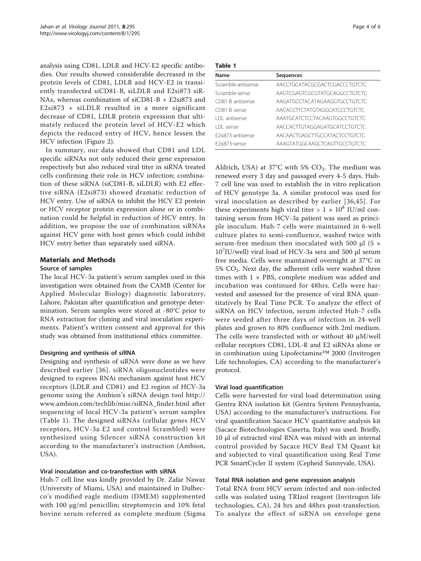analysis using CD81, LDLR and HCV-E2 specific antibodies. Our results showed considerable decreased in the protein levels of CD81, LDLR and HCV-E2 in transiently transfected siCD81-B, siLDLR and E2si873 siR-NAs, whereas combination of siCD81-B + E2si873 and E2si873 + siLDLR resulted in a more significant decrease of CD81, LDLR protein expression that ultimately reduced the protein level of HCV-E2 which depicts the reduced entry of HCV, hence lessen the HCV infection (Figure [2\)](#page-2-0).

In summary, our data showed that CD81 and LDL specific siRNAs not only reduced their gene expression respectively but also reduced viral titer in siRNA treated cells confirming their role in HCV infection; combination of these siRNA (siCD81-B, siLDLR) with E2 effective siRNA (E2si873) showed dramatic reduction of HCV entry. Use of siRNA to inhibit the HCV E2 protein or HCV receptor protein expression alone or in combination could be helpful in reduction of HCV entry. In addition, we propose the use of combination siRNAs against HCV gene with host genes which could inhibit HCV entry better than separately used siRNA.

# Materials and Methods

# Source of samples

The local HCV-3a patient's serum samples used in this investigation were obtained from the CAMB (Center for Applied Molecular Biology) diagnostic laboratory, Lahore, Pakistan after quantification and genotype determination. Serum samples were stored at -80°C prior to RNA extraction for cloning and viral inoculation experiments. Patient's written consent and approval for this study was obtained from institutional ethics committee.

### Designing and synthesis of siRNA

Designing and synthesis of siRNA were done as we have described earlier [[36](#page-5-0)]. siRNA oligonucleotides were designed to express RNAi mechanism against host HCV receptors (LDLR and CD81) and E2 region of HCV-3a genome using the Ambion's siRNA design tool [http://](http://www.ambion.com/techlib/misc/siRNA_finder.html) [www.ambion.com/techlib/misc/siRNA\\_finder.html](http://www.ambion.com/techlib/misc/siRNA_finder.html) after sequencing of local HCV-3a patient's serum samples (Table 1). The designed siRNAs (cellular genes HCV receptors, HCV-3a E2 and control Scrambled) were synthesized using Silencer siRNA construction kit according to the manufacturer's instruction (Ambion, USA).

### Viral inoculation and co-transfection with siRNA

Huh-7 cell line was kindly provided by Dr. Zafar Nawaz (University of Miami, USA) and maintained in Dulbecco's modified eagle medium (DMEM) supplemented with 100 μg/ml penicillin; streptomycin and 10% fetal bovine serum referred as complete medium (Sigma

| $\sim$ $\sim$<br>$\sim$ |
|-------------------------|
|-------------------------|

| Name                 | <b>Sequences</b>              |
|----------------------|-------------------------------|
| Scramble-antisense   | AACCTGCATACGCGACTCGACCCTGTCTC |
| Scramble-sense       | AAGTCGAGTCGCGTATGCAGGCCTGTCTC |
| CD81-B antisense     | AAGATGCCTACATAGAAGGTGCCTGTCTC |
| CD81-B sense         | AACACCITCTATGTAGGCATCCCTGTCTC |
| <b>IDI</b> antisense | AAATGCATCTCCTACAAGTGGCCTGTCTC |
| I DI sense           | AACCACTTGTAGGAGATGCATCCTGTCTC |
| F2si873-antisense    | AACAACTGAGCTTGCCATACTCCTGTCTC |
| F2si873-sense        | AAAGTATGGCAAGCTCAGTTGCCTGTCTC |
|                      |                               |

Aldrich, USA) at 37°C with 5%  $CO<sub>2</sub>$ . The medium was renewed every 3 day and passaged every 4-5 days. Huh-7 cell line was used to establish the in vitro replication of HCV genotype 3a. A similar protocol was used for viral inoculation as described by earlier [[36,45](#page-5-0)]. For these experiments high viral titer  $> 1 \times 10^8$  IU/ml containing serum from HCV-3a patient was used as principle inoculum. Huh-7 cells were maintained in 6-well culture plates to semi-confluence, washed twice with serum-free medium then inoculated with 500  $\mu$ l (5  $\times$ 10<sup>7</sup> IU/well) viral load of HCV-3a sera and 500 μl serum free media. Cells were maintained overnight at 37°C in  $5\%$  CO<sub>2</sub>. Next day, the adherent cells were washed three times with  $1 \times$  PBS, complete medium was added and incubation was continued for 48hrs. Cells were harvested and assessed for the presence of viral RNA quantitatively by Real Time PCR. To analyze the effect of siRNA on HCV infection, serum infected Huh-7 cells were seeded after three days of infection in 24-well plates and grown to 80% confluence with 2ml medium. The cells were transfected with or without 40 μM/well cellular receptors CD81, LDL-R and E2 siRNAs alone or in combination using Lipofectamine™ 2000 (Invitrogen Life technologies, CA) according to the manufacturer's protocol.

### Viral load quantification

Cells were harvested for viral load determination using Gentra RNA isolation kit (Gentra System Pennsylvania, USA) according to the manufacturer's instructions. For viral quantification Sacace HCV quantitative analysis kit (Sacace Biotechnologies Caserta, Italy) was used. Briefly, 10 μl of extracted viral RNA was mixed with an internal control provided by Sacace HCV Real TM Quant kit and subjected to viral quantification using Real Time PCR SmartCycler II system (Cepheid Sunnyvale, USA).

# Total RNA isolation and gene expression analysis

Total RNA from HCV serum infected and non-infected cells was isolated using TRIzol reagent (Invitrogen life technologies, CA), 24 hrs and 48hrs post-transfection. To analyze the effect of siRNA on envelope gene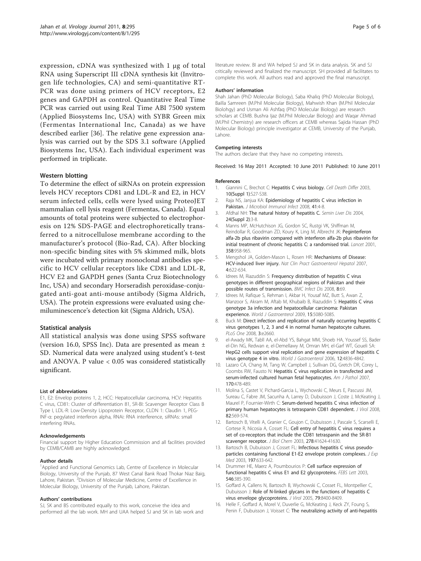<span id="page-4-0"></span>expression, cDNA was synthesized with 1 μg of total RNA using Superscript III cDNA synthesis kit (Invitrogen life technologies, CA) and semi-quantitative RT-PCR was done using primers of HCV receptors, E2 genes and GAPDH as control. Quantitative Real Time PCR was carried out using Real Time ABI 7500 system (Applied Biosystems Inc, USA) with SYBR Green mix (Fermentas International Inc, Canada) as we have described earlier [[36\]](#page-5-0). The relative gene expression analysis was carried out by the SDS 3.1 software (Applied Biosystems Inc, USA). Each individual experiment was performed in triplicate.

# Western blotting

To determine the effect of siRNAs on protein expression levels HCV receptors CD81 and LDL-R and E2, in HCV serum infected cells, cells were lysed using ProteoJET mammalian cell lysis reagent (Fermentas, Canada). Equal amounts of total proteins were subjected to electrophoresis on 12% SDS-PAGE and electrophoretically transferred to a nitrocellulose membrane according to the manufacturer's protocol (Bio-Rad, CA). After blocking non-specific binding sites with 5% skimmed milk, blots were incubated with primary monoclonal antibodies specific to HCV cellular receptors like CD81 and LDL-R, HCV E2 and GAPDH genes (Santa Cruz Biotechnology Inc, USA) and secondary Horseradish peroxidase-conjugated anti-goat anti-mouse antibody (Sigma Aldrich, USA). The protein expressions were evaluated using chemiluminescence's detection kit (Sigma Aldrich, USA).

# Statistical analysis

All statistical analysis was done using SPSS software (version 16.0, SPSS Inc). Data are presented as mean ± SD. Numerical data were analyzed using student's t-test and ANOVA. P value < 0.05 was considered statistically significant.

#### List of abbreviations

E1, E2: Envelop proteins 1, 2, HCC: Hepatocellular carcinoma, HCV: Hepatitis C virus, CD81: Cluster of differentiation 81, SR-BI: Scavenger Receptor Class B Type I, LDL-R: Low-Density Lipoprotein Receptor, CLDN 1: Claudin 1, PEG-INF-α: pegylated interferon alpha, RNAi: RNA interference, siRNAs: small interfering RNAs.

#### Acknowledgements

Financial support by Higher Education Commission and all facilities provided by CEMB/CAMB are highly acknowledged.

#### Author details

<sup>1</sup>Applied and Functional Genomics Lab, Centre of Excellence in Molecular Biology, University of the Punjab, 87 West Canal Bank Road Thokar Niaz Baig, Lahore, Pakistan. <sup>2</sup> Division of Molecular Medicine, Centre of Excellence in Molecular Biology, University of the Punjab, Lahore, Pakistan.

#### Authors' contributions

SJ, SK and BS contributed equally to this work, conceive the idea and performed all the lab work. MH and UAA helped SJ and SK in lab work and

literature review. BI and WA helped SJ and SK in data analysis. SK and SJ critically reviewed and finalized the manuscript. SH provided all facilitates to complete this work. All authors read and approved the final manuscript.

#### Authors' information

Shah Jahan (PhD Molecular Biology), Saba Khaliq (PhD Molecular Biology), Bailla Samreen (M.Phil Molecular Biology), Mahwish Khan (M.Phil Molecular Biolohgy) and Usman Ali Ashfaq (PhD Molecular Biology) are research scholars at CEMB. Bushra Ijaz (M.Phil Molecular Biology) and Waqar Ahmad (M.Phil Chemistry) are research officers at CEMB whereas Sajida Hassan (PhD Molecular Biology) principle investigator at CEMB, University of the Punjab, Lahore.

#### Competing interests

The authors declare that they have no competing interests.

Received: 16 May 2011 Accepted: 10 June 2011 Published: 10 June 2011

#### References

- 1. Giannini C, Brechot C: [Hepatitis C virus biology.](http://www.ncbi.nlm.nih.gov/pubmed/12655344?dopt=Abstract) Cell Death Differ 2003, 10(Suppl 1):S27-S38.
- 2. Raja NS, Janjua KA: [Epidemiology of hepatitis C virus infection in](http://www.ncbi.nlm.nih.gov/pubmed/18327420?dopt=Abstract) [Pakistan.](http://www.ncbi.nlm.nih.gov/pubmed/18327420?dopt=Abstract) J Microbiol Immunol Infect 2008, 41:4-8.
- 3. Afdhal NH: [The natural history of hepatitis C.](http://www.ncbi.nlm.nih.gov/pubmed/15346240?dopt=Abstract) Semin Liver Dis 2004, 24(Suppl 2):3-8.
- 4. Manns MP, McHutchison JG, Gordon SC, Rustgi VK, Shiffman M, Reindollar R, Goodman ZD, Koury K, Ling M, Albrecht JK: [Peginterferon](http://www.ncbi.nlm.nih.gov/pubmed/11583749?dopt=Abstract) [alfa-2b plus ribavirin compared with interferon alfa-2b plus ribavirin for](http://www.ncbi.nlm.nih.gov/pubmed/11583749?dopt=Abstract) [initial treatment of chronic hepatitis C: a randomised trial.](http://www.ncbi.nlm.nih.gov/pubmed/11583749?dopt=Abstract) Lancet 2001, 358:958-965.
- 5. Mengshol JA, Golden-Mason L, Rosen HR: [Mechanisms of Disease:](http://www.ncbi.nlm.nih.gov/pubmed/17978819?dopt=Abstract) [HCV-induced liver injury.](http://www.ncbi.nlm.nih.gov/pubmed/17978819?dopt=Abstract) Nat Clin Pract Gastroenterol Hepatol 2007, 4:622-634.
- 6. Idrees M, Riazuddin S: [Frequency distribution of hepatitis C virus](http://www.ncbi.nlm.nih.gov/pubmed/18498666?dopt=Abstract) [genotypes in different geographical regions of Pakistan and their](http://www.ncbi.nlm.nih.gov/pubmed/18498666?dopt=Abstract) [possible routes of transmission.](http://www.ncbi.nlm.nih.gov/pubmed/18498666?dopt=Abstract) BMC Infect Dis 2008, 8:69.
- 7. Idrees M, Rafique S, Rehman I, Akbar H, Yousaf MZ, Butt S, Awan Z, Manzoor S, Akram M, Aftab M, Khubaib B, Riazuddin S: [Hepatitis C virus](http://www.ncbi.nlm.nih.gov/pubmed/19860002?dopt=Abstract) [genotype 3a infection and hepatocellular carcinoma: Pakistan](http://www.ncbi.nlm.nih.gov/pubmed/19860002?dopt=Abstract) [experience.](http://www.ncbi.nlm.nih.gov/pubmed/19860002?dopt=Abstract) World J Gastroenterol 2009, 15:5080-5085.
- 8. Buck M: [Direct infection and replication of naturally occurring hepatitis C](http://www.ncbi.nlm.nih.gov/pubmed/18628977?dopt=Abstract) [virus genotypes 1, 2, 3 and 4 in normal human hepatocyte cultures.](http://www.ncbi.nlm.nih.gov/pubmed/18628977?dopt=Abstract) PLoS One 2008, 3:e2660.
- 9. el-Awady MK, Tabll AA, el-Abd YS, Bahgat MM, Shoeb HA, Youssef SS, Bader el-Din NG, Redwan e, el-Demellawy M, Omran MH, el-Garf WT, Goueli SA: [HepG2 cells support viral replication and gene expression of hepatitis C](http://www.ncbi.nlm.nih.gov/pubmed/16937465?dopt=Abstract) [virus genotype 4 in vitro.](http://www.ncbi.nlm.nih.gov/pubmed/16937465?dopt=Abstract) World J Gastroenterol 2006, 12:4836-4842
- 10. Lazaro CA, Chang M, Tang W, Campbell J, Sullivan DG, Gretch DR, Corey L, Coombs RW, Fausto N: [Hepatitis C virus replication in transfected and](http://www.ncbi.nlm.nih.gov/pubmed/17255316?dopt=Abstract) [serum-infected cultured human fetal hepatocytes.](http://www.ncbi.nlm.nih.gov/pubmed/17255316?dopt=Abstract) Am J Pathol 2007, 170:478-489.
- 11. Molina S, Castet V, Pichard-Garcia L, Wychowski C, Meurs E, Pascussi JM, Sureau C, Fabre JM, Sacunha A, Larrey D, Dubuisson J, Coste J, McKeating J, Maurel P, Fournier-Wirth C: [Serum-derived hepatitis C virus infection of](http://www.ncbi.nlm.nih.gov/pubmed/17942559?dopt=Abstract) [primary human hepatocytes is tetraspanin CD81 dependent.](http://www.ncbi.nlm.nih.gov/pubmed/17942559?dopt=Abstract) J Virol 2008, 82:569-574.
- 12. Bartosch B, Vitelli A, Granier C, Goujon C, Dubuisson J, Pascale S, Scarselli E, Cortese R, Nicosia A, Cosset FL: [Cell entry of hepatitis C virus requires a](http://www.ncbi.nlm.nih.gov/pubmed/12913001?dopt=Abstract) [set of co-receptors that include the CD81 tetraspanin and the SR-B1](http://www.ncbi.nlm.nih.gov/pubmed/12913001?dopt=Abstract) [scavenger receptor.](http://www.ncbi.nlm.nih.gov/pubmed/12913001?dopt=Abstract) J Biol Chem 2003, 278:41624-41630.
- 13. Bartosch B, Dubuisson J, Cosset FL: [Infectious hepatitis C virus pseudo](http://www.ncbi.nlm.nih.gov/pubmed/12615904?dopt=Abstract)[particles containing functional E1-E2 envelope protein complexes.](http://www.ncbi.nlm.nih.gov/pubmed/12615904?dopt=Abstract) J Exp Med 2003, 197:633-642.
- 14. Drummer HE, Maerz A, Poumbourios P: [Cell surface expression of](http://www.ncbi.nlm.nih.gov/pubmed/12832074?dopt=Abstract) [functional hepatitis C virus E1 and E2 glycoproteins.](http://www.ncbi.nlm.nih.gov/pubmed/12832074?dopt=Abstract) FEBS Lett 2003, 546:385-390.
- 15. Goffard A, Callens N, Bartosch B, Wychowski C, Cosset FL, Montpellier C, Dubuisson J: [Role of N-linked glycans in the functions of hepatitis C](http://www.ncbi.nlm.nih.gov/pubmed/15956584?dopt=Abstract) [virus envelope glycoproteins.](http://www.ncbi.nlm.nih.gov/pubmed/15956584?dopt=Abstract) J Virol 2005, 79:8400-8409.
- 16. Helle F, Goffard A, Morel V, Duverlie G, McKeating J, Keck ZY, Foung S, Penin F, Dubuisson J, Voisset C: [The neutralizing activity of anti-hepatitis](http://www.ncbi.nlm.nih.gov/pubmed/17522218?dopt=Abstract)